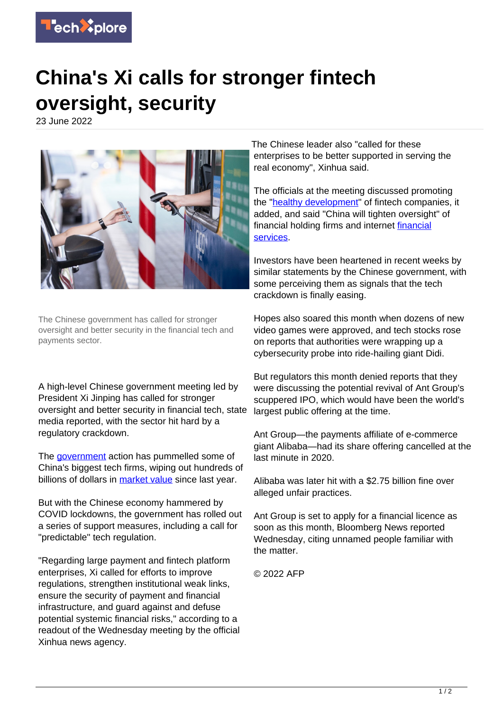

## **China's Xi calls for stronger fintech oversight, security**

23 June 2022



The Chinese government has called for stronger oversight and better security in the financial tech and payments sector.

A high-level Chinese government meeting led by President Xi Jinping has called for stronger oversight and better security in financial tech, state media reported, with the sector hit hard by a regulatory crackdown.

The **government** action has pummelled some of China's biggest tech firms, wiping out hundreds of billions of dollars in [market value](https://techxplore.com/tags/market+value/) since last year.

But with the Chinese economy hammered by COVID lockdowns, the government has rolled out a series of support measures, including a call for "predictable" tech regulation.

"Regarding large payment and fintech platform enterprises, Xi called for efforts to improve regulations, strengthen institutional weak links, ensure the security of payment and financial infrastructure, and guard against and defuse potential systemic financial risks," according to a readout of the Wednesday meeting by the official Xinhua news agency.

The Chinese leader also "called for these enterprises to be better supported in serving the real economy", Xinhua said.

The officials at the meeting discussed promoting the "[healthy development](https://techxplore.com/tags/healthy+development/)" of fintech companies, it added, and said "China will tighten oversight" of financial holding firms and internet **financial** [services.](https://techxplore.com/tags/financial+services/)

Investors have been heartened in recent weeks by similar statements by the Chinese government, with some perceiving them as signals that the tech crackdown is finally easing.

Hopes also soared this month when dozens of new video games were approved, and tech stocks rose on reports that authorities were wrapping up a cybersecurity probe into ride-hailing giant Didi.

But regulators this month denied reports that they were discussing the potential revival of Ant Group's scuppered IPO, which would have been the world's largest public offering at the time.

Ant Group—the payments affiliate of e-commerce giant Alibaba—had its share offering cancelled at the last minute in 2020.

Alibaba was later hit with a \$2.75 billion fine over alleged unfair practices.

Ant Group is set to apply for a financial licence as soon as this month, Bloomberg News reported Wednesday, citing unnamed people familiar with the matter.

© 2022 AFP